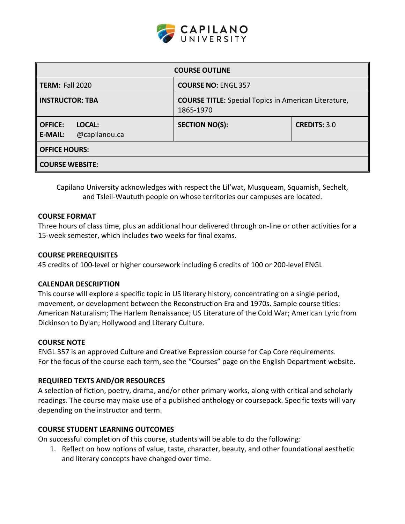

| <b>COURSE OUTLINE</b>                                       |                                                                          |                     |  |  |  |
|-------------------------------------------------------------|--------------------------------------------------------------------------|---------------------|--|--|--|
| <b>TERM: Fall 2020</b>                                      | <b>COURSE NO: ENGL 357</b>                                               |                     |  |  |  |
| <b>INSTRUCTOR: TBA</b>                                      | <b>COURSE TITLE:</b> Special Topics in American Literature,<br>1865-1970 |                     |  |  |  |
| <b>OFFICE:</b><br>LOCAL:<br>@capilanou.ca<br><b>E-MAIL:</b> | <b>SECTION NO(S):</b>                                                    | <b>CREDITS: 3.0</b> |  |  |  |
| <b>OFFICE HOURS:</b>                                        |                                                                          |                     |  |  |  |
| <b>COURSE WEBSITE:</b>                                      |                                                                          |                     |  |  |  |

Capilano University acknowledges with respect the Lil'wat, Musqueam, Squamish, Sechelt, and Tsleil-Waututh people on whose territories our campuses are located.

### **COURSE FORMAT**

Three hours of class time, plus an additional hour delivered through on-line or other activities for a 15-week semester, which includes two weeks for final exams.

### **COURSE PREREQUISITES**

45 credits of 100-level or higher coursework including 6 credits of 100 or 200-level ENGL

#### **CALENDAR DESCRIPTION**

This course will explore a specific topic in US literary history, concentrating on a single period, movement, or development between the Reconstruction Era and 1970s. Sample course titles: American Naturalism; The Harlem Renaissance; US Literature of the Cold War; American Lyric from Dickinson to Dylan; Hollywood and Literary Culture.

#### **COURSE NOTE**

ENGL 357 is an approved Culture and Creative Expression course for Cap Core requirements. For the focus of the course each term, see the "Courses" page on the English Department website.

#### **REQUIRED TEXTS AND/OR RESOURCES**

A selection of fiction, poetry, drama, and/or other primary works, along with critical and scholarly readings. The course may make use of a published anthology or coursepack. Specific texts will vary depending on the instructor and term.

## **COURSE STUDENT LEARNING OUTCOMES**

On successful completion of this course, students will be able to do the following:

1. Reflect on how notions of value, taste, character, beauty, and other foundational aesthetic and literary concepts have changed over time.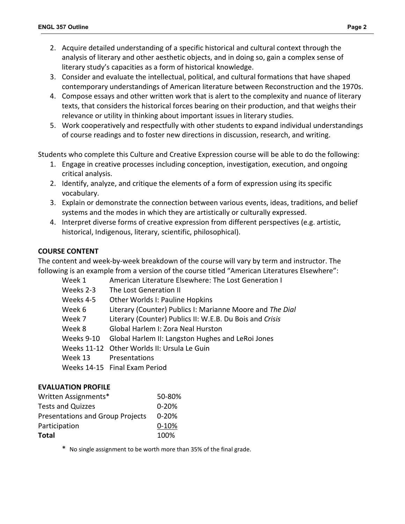- 2. Acquire detailed understanding of a specific historical and cultural context through the analysis of literary and other aesthetic objects, and in doing so, gain a complex sense of literary study's capacities as a form of historical knowledge.
- 3. Consider and evaluate the intellectual, political, and cultural formations that have shaped contemporary understandings of American literature between Reconstruction and the 1970s.
- 4. Compose essays and other written work that is alert to the complexity and nuance of literary texts, that considers the historical forces bearing on their production, and that weighs their relevance or utility in thinking about important issues in literary studies.
- 5. Work cooperatively and respectfully with other students to expand individual understandings of course readings and to foster new directions in discussion, research, and writing.

Students who complete this Culture and Creative Expression course will be able to do the following:

- 1. Engage in creative processes including conception, investigation, execution, and ongoing critical analysis.
- 2. Identify, analyze, and critique the elements of a form of expression using its specific vocabulary.
- 3. Explain or demonstrate the connection between various events, ideas, traditions, and belief systems and the modes in which they are artistically or culturally expressed.
- 4. Interpret diverse forms of creative expression from different perspectives (e.g. artistic, historical, Indigenous, literary, scientific, philosophical).

## **COURSE CONTENT**

The content and week-by-week breakdown of the course will vary by term and instructor. The following is an example from a version of the course titled "American Literatures Elsewhere":

| Week 1     | American Literature Elsewhere: The Lost Generation I      |
|------------|-----------------------------------------------------------|
| Weeks 2-3  | The Lost Generation II                                    |
| Weeks 4-5  | Other Worlds I: Pauline Hopkins                           |
| Week 6     | Literary (Counter) Publics I: Marianne Moore and The Dial |
| Week 7     | Literary (Counter) Publics II: W.E.B. Du Bois and Crisis  |
| Week 8     | Global Harlem I: Zora Neal Hurston                        |
| Weeks 9-10 | Global Harlem II: Langston Hughes and LeRoi Jones         |
|            | Weeks 11-12 Other Worlds II: Ursula Le Guin               |
| Week 13    | Presentations                                             |
|            | Weeks 14-15 Final Exam Period                             |

## **EVALUATION PROFILE**

| Written Assignments*                    | 50-80%    |
|-----------------------------------------|-----------|
| <b>Tests and Quizzes</b>                | $0 - 20%$ |
| <b>Presentations and Group Projects</b> | $0 - 20%$ |
| Participation                           | $0 - 10%$ |
| <b>Total</b>                            | 100%      |

\* No single assignment to be worth more than 35% of the final grade.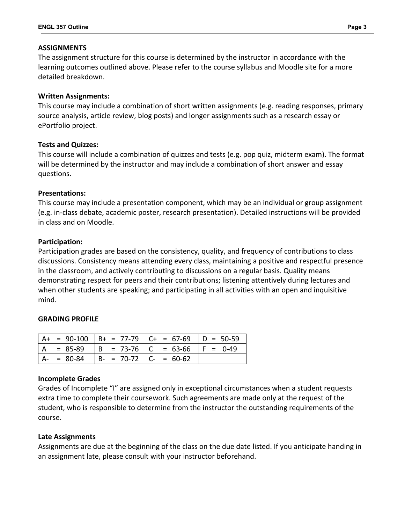### **ASSIGNMENTS**

The assignment structure for this course is determined by the instructor in accordance with the learning outcomes outlined above. Please refer to the course syllabus and Moodle site for a more detailed breakdown.

### **Written Assignments:**

This course may include a combination of short written assignments (e.g. reading responses, primary source analysis, article review, blog posts) and longer assignments such as a research essay or ePortfolio project.

### **Tests and Quizzes:**

This course will include a combination of quizzes and tests (e.g. pop quiz, midterm exam). The format will be determined by the instructor and may include a combination of short answer and essay questions.

### **Presentations:**

This course may include a presentation component, which may be an individual or group assignment (e.g. in-class debate, academic poster, research presentation). Detailed instructions will be provided in class and on Moodle.

### **Participation:**

Participation grades are based on the consistency, quality, and frequency of contributions to class discussions. Consistency means attending every class, maintaining a positive and respectful presence in the classroom, and actively contributing to discussions on a regular basis. Quality means demonstrating respect for peers and their contributions; listening attentively during lectures and when other students are speaking; and participating in all activities with an open and inquisitive mind.

#### **GRADING PROFILE**

|  |                                        | $ $ A+ = 90-100 $ $ B+ = 77-79 $ $ C+ = 67-69 $ $ D = 50-59 |  |
|--|----------------------------------------|-------------------------------------------------------------|--|
|  |                                        | $  A = 85-89   B = 73-76   C = 63-66   F = 0-49$            |  |
|  | $A- = 80-84$ $B- = 70-72$ $C- = 60-62$ |                                                             |  |

#### **Incomplete Grades**

Grades of Incomplete "I" are assigned only in exceptional circumstances when a student requests extra time to complete their coursework. Such agreements are made only at the request of the student, who is responsible to determine from the instructor the outstanding requirements of the course.

## **Late Assignments**

Assignments are due at the beginning of the class on the due date listed. If you anticipate handing in an assignment late, please consult with your instructor beforehand.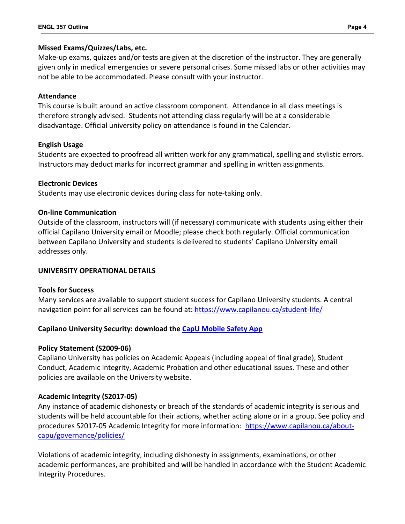## **Missed Exams/Quizzes/Labs, etc.**

Make-up exams, quizzes and/or tests are given at the discretion of the instructor. They are generally given only in medical emergencies or severe personal crises. Some missed labs or other activities may not be able to be accommodated. Please consult with your instructor.

## **Attendance**

This course is built around an active classroom component. Attendance in all class meetings is therefore strongly advised. Students not attending class regularly will be at a considerable disadvantage. Official university policy on attendance is found in the Calendar.

## **English Usage**

Students are expected to proofread all written work for any grammatical, spelling and stylistic errors. Instructors may deduct marks for incorrect grammar and spelling in written assignments.

## **Electronic Devices**

Students may use electronic devices during class for note-taking only.

# **On-line Communication**

Outside of the classroom, instructors will (if necessary) communicate with students using either their official Capilano University email or Moodle; please check both regularly. Official communication between Capilano University and students is delivered to students' Capilano University email addresses only.

## **UNIVERSITY OPERATIONAL DETAILS**

## **Tools for Success**

Many services are available to support student success for Capilano University students. A central navigation point for all services can be found at:<https://www.capilanou.ca/student-life/>

# **Capilano University Security: download the [CapU Mobile Safety App](https://www.capilanou.ca/student-life/support--wellness/safety--security/capu-safe-app/)**

## **Policy Statement (S2009-06)**

Capilano University has policies on Academic Appeals (including appeal of final grade), Student Conduct, Academic Integrity, Academic Probation and other educational issues. These and other policies are available on the University website.

# **Academic Integrity (S2017-05)**

Any instance of academic dishonesty or breach of the standards of academic integrity is serious and students will be held accountable for their actions, whether acting alone or in a group. See policy and procedures S2017-05 Academic Integrity for more information: [https://www.capilanou.ca/about](https://www.capilanou.ca/about-capu/governance/policies/)[capu/governance/policies/](https://www.capilanou.ca/about-capu/governance/policies/)

Violations of academic integrity, including dishonesty in assignments, examinations, or other academic performances, are prohibited and will be handled in accordance with the Student Academic Integrity Procedures.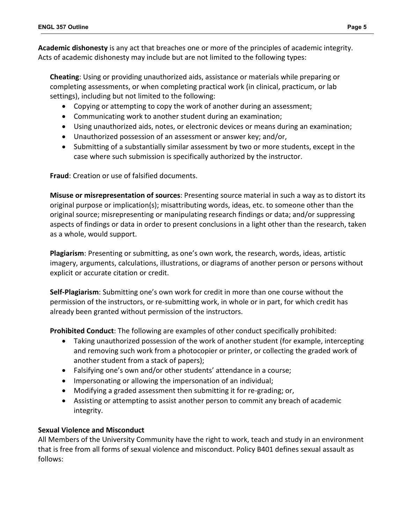**Academic dishonesty** is any act that breaches one or more of the principles of academic integrity. Acts of academic dishonesty may include but are not limited to the following types:

**Cheating**: Using or providing unauthorized aids, assistance or materials while preparing or completing assessments, or when completing practical work (in clinical, practicum, or lab settings), including but not limited to the following:

- Copying or attempting to copy the work of another during an assessment;
- Communicating work to another student during an examination;
- Using unauthorized aids, notes, or electronic devices or means during an examination;
- Unauthorized possession of an assessment or answer key; and/or,
- Submitting of a substantially similar assessment by two or more students, except in the case where such submission is specifically authorized by the instructor.

**Fraud**: Creation or use of falsified documents.

**Misuse or misrepresentation of sources**: Presenting source material in such a way as to distort its original purpose or implication(s); misattributing words, ideas, etc. to someone other than the original source; misrepresenting or manipulating research findings or data; and/or suppressing aspects of findings or data in order to present conclusions in a light other than the research, taken as a whole, would support.

**Plagiarism**: Presenting or submitting, as one's own work, the research, words, ideas, artistic imagery, arguments, calculations, illustrations, or diagrams of another person or persons without explicit or accurate citation or credit.

**Self-Plagiarism**: Submitting one's own work for credit in more than one course without the permission of the instructors, or re-submitting work, in whole or in part, for which credit has already been granted without permission of the instructors.

**Prohibited Conduct**: The following are examples of other conduct specifically prohibited:

- Taking unauthorized possession of the work of another student (for example, intercepting and removing such work from a photocopier or printer, or collecting the graded work of another student from a stack of papers);
- Falsifying one's own and/or other students' attendance in a course;
- Impersonating or allowing the impersonation of an individual;
- Modifying a graded assessment then submitting it for re-grading; or,
- Assisting or attempting to assist another person to commit any breach of academic integrity.

## **Sexual Violence and Misconduct**

All Members of the University Community have the right to work, teach and study in an environment that is free from all forms of sexual violence and misconduct. Policy B401 defines sexual assault as follows: